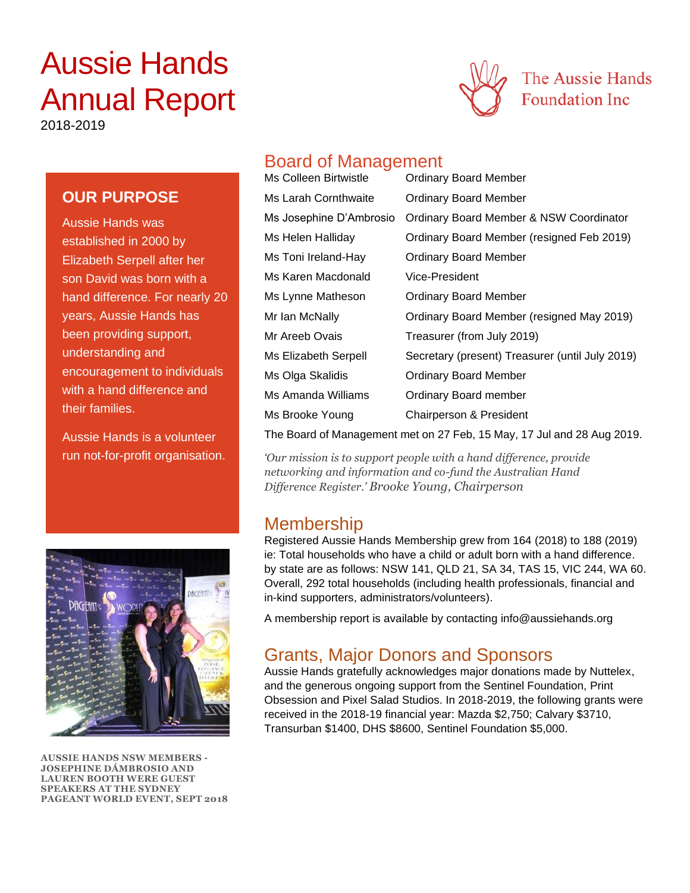# Aussie Hands Annual Report



2018-2019

### **OUR PURPOSE**

Aussie Hands was established in 2000 by Elizabeth Serpell after her son David was born with a hand difference. For nearly 20 years, Aussie Hands has been providing support, understanding and encouragement to individuals with a hand difference and their families.

Aussie Hands is a volunteer run not-for-profit organisation.



**AUSSIE HANDS NSW MEMBERS - JOSEPHINE DÁMBROSIO AND LAUREN BOOTH WERE GUEST SPEAKERS AT THE SYDNEY PAGEANT WORLD EVENT, SEPT 2018**

# Board of Management

| Ms Colleen Birtwistle   | <b>Ordinary Board Member</b>                    |
|-------------------------|-------------------------------------------------|
| Ms Larah Cornthwaite    | <b>Ordinary Board Member</b>                    |
| Ms Josephine D'Ambrosio | Ordinary Board Member & NSW Coordinator         |
| Ms Helen Halliday       | Ordinary Board Member (resigned Feb 2019)       |
| Ms Toni Ireland-Hay     | <b>Ordinary Board Member</b>                    |
| Ms Karen Macdonald      | Vice-President                                  |
| Ms Lynne Matheson       | <b>Ordinary Board Member</b>                    |
| Mr Ian McNally          | Ordinary Board Member (resigned May 2019)       |
| Mr Areeb Ovais          | Treasurer (from July 2019)                      |
| Ms Elizabeth Serpell    | Secretary (present) Treasurer (until July 2019) |
| Ms Olga Skalidis        | Ordinary Board Member                           |
| Ms Amanda Williams      | <b>Ordinary Board member</b>                    |
| Ms Brooke Young         | Chairperson & President                         |
|                         |                                                 |

The Board of Management met on 27 Feb, 15 May, 17 Jul and 28 Aug 2019.

*'Our mission is to support people with a hand difference, provide networking and information and co-fund the Australian Hand Difference Register.' Brooke Young, Chairperson*

# Membership

Registered Aussie Hands Membership grew from 164 (2018) to 188 (2019) ie: Total households who have a child or adult born with a hand difference. by state are as follows: NSW 141, QLD 21, SA 34, TAS 15, VIC 244, WA 60. Overall, 292 total households (including health professionals, financial and in-kind supporters, administrators/volunteers).

A membership report is available by contacting info@aussiehands.org

# Grants, Major Donors and Sponsors

Aussie Hands gratefully acknowledges major donations made by Nuttelex, and the generous ongoing support from the Sentinel Foundation, Print Obsession and Pixel Salad Studios. In 2018-2019, the following grants were received in the 2018-19 financial year: Mazda \$2,750; Calvary \$3710, Transurban \$1400, DHS \$8600, Sentinel Foundation \$5,000.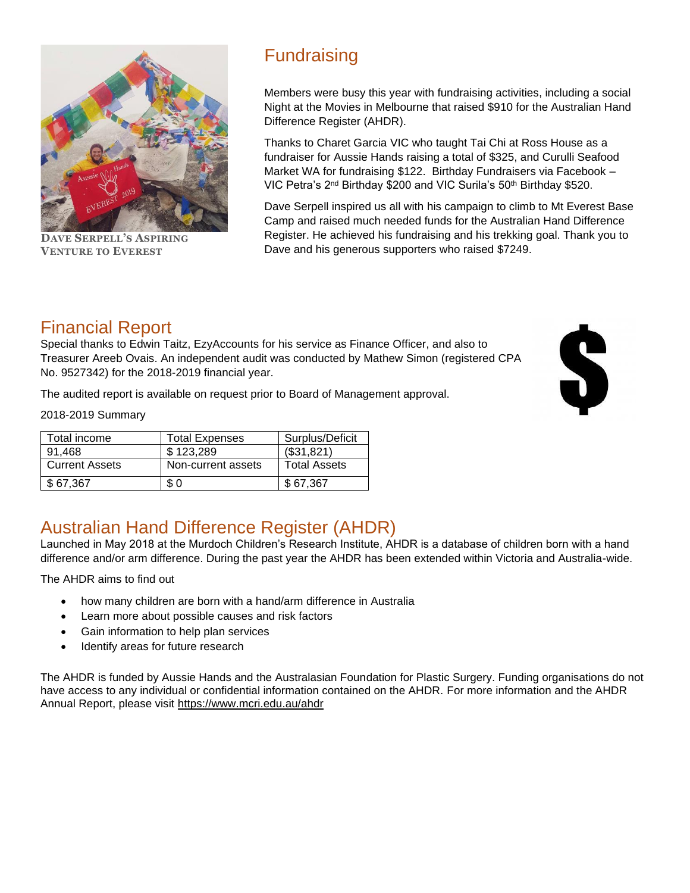

**DAVE SERPELL'S ASPIRING VENTURE TO EVEREST** 

# **Fundraising**

Members were busy this year with fundraising activities, including a social Night at the Movies in Melbourne that raised \$910 for the Australian Hand Difference Register (AHDR).

Thanks to Charet Garcia VIC who taught Tai Chi at Ross House as a fundraiser for Aussie Hands raising a total of \$325, and Curulli Seafood Market WA for fundraising \$122. Birthday Fundraisers via Facebook – VIC Petra's 2<sup>nd</sup> Birthday \$200 and VIC Surila's 50<sup>th</sup> Birthday \$520.

Dave Serpell inspired us all with his campaign to climb to Mt Everest Base Camp and raised much needed funds for the Australian Hand Difference Register. He achieved his fundraising and his trekking goal. Thank you to Dave and his generous supporters who raised \$7249.

# Financial Report

Special thanks to Edwin Taitz, EzyAccounts for his service as Finance Officer, and also to Treasurer Areeb Ovais. An independent audit was conducted by Mathew Simon (registered CPA No. 9527342) for the 2018-2019 financial year.

The audited report is available on request prior to Board of Management approval.

2018-2019 Summary

| Total income          | <b>Total Expenses</b> | Surplus/Deficit     |
|-----------------------|-----------------------|---------------------|
| 91.468                | \$123,289             | (\$31,821)          |
| <b>Current Assets</b> | Non-current assets    | <b>Total Assets</b> |
| \$67.367              | \$0                   | \$67.367            |

# Australian Hand Difference Register (AHDR)

Launched in May 2018 at the Murdoch Children's Research Institute, AHDR is a database of children born with a hand difference and/or arm difference. During the past year the AHDR has been extended within Victoria and Australia-wide.

The AHDR aims to find out

- how many children are born with a hand/arm difference in Australia
- Learn more about possible causes and risk factors
- Gain information to help plan services
- Identify areas for future research

The AHDR is funded by Aussie Hands and the Australasian Foundation for Plastic Surgery. Funding organisations do not have access to any individual or confidential information contained on the AHDR. For more information and the AHDR Annual Report, please visit<https://www.mcri.edu.au/ahdr>

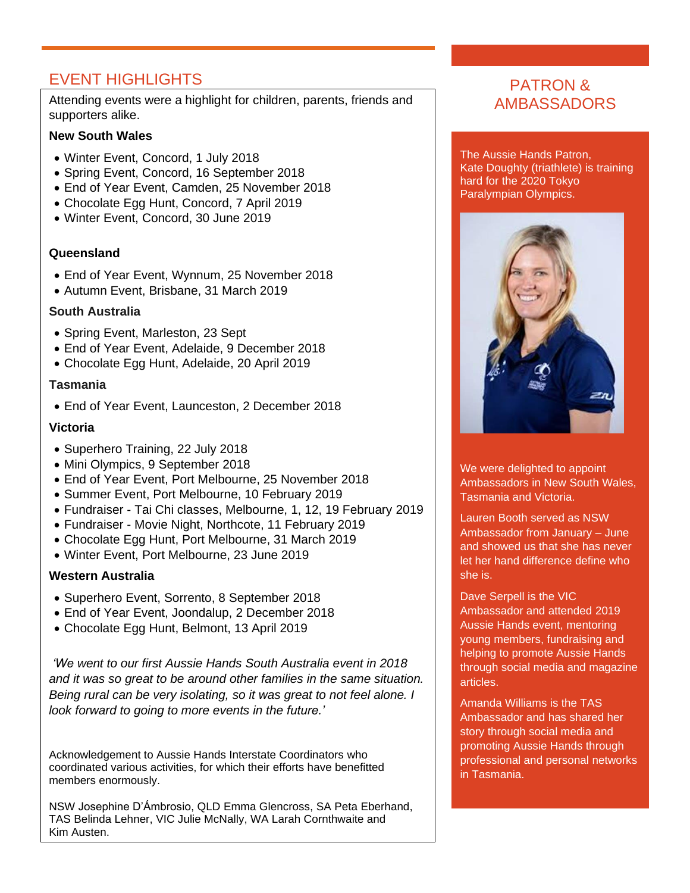# EVENT HIGHLIGHTS

Attending events were a highlight for children, parents, friends and supporters alike.

#### **New South Wales**

- Winter Event, Concord, 1 July 2018
- Spring Event, Concord, 16 September 2018
- End of Year Event, Camden, 25 November 2018
- Chocolate Egg Hunt, Concord, 7 April 2019
- Winter Event, Concord, 30 June 2019

#### **Queensland**

- End of Year Event, Wynnum, 25 November 2018
- Autumn Event, Brisbane, 31 March 2019

#### **South Australia**

- Spring Event, Marleston, 23 Sept
- End of Year Event, Adelaide, 9 December 2018
- Chocolate Egg Hunt, Adelaide, 20 April 2019

#### **Tasmania**

• End of Year Event, Launceston, 2 December 2018

#### **Victoria**

- Superhero Training, 22 July 2018
- Mini Olympics, 9 September 2018
- End of Year Event, Port Melbourne, 25 November 2018
- Summer Event, Port Melbourne, 10 February 2019
- Fundraiser Tai Chi classes, Melbourne, 1, 12, 19 February 2019
- Fundraiser Movie Night, Northcote, 11 February 2019
- Chocolate Egg Hunt, Port Melbourne, 31 March 2019
- Winter Event, Port Melbourne, 23 June 2019

#### **Western Australia**

.

- Superhero Event, Sorrento, 8 September 2018
- End of Year Event, Joondalup, 2 December 2018
- Chocolate Egg Hunt, Belmont, 13 April 2019

*'We went to our first Aussie Hands South Australia event in 2018 and it was so great to be around other families in the same situation. Being rural can be very isolating, so it was great to not feel alone. I look forward to going to more events in the future.'*

Acknowledgement to Aussie Hands Interstate Coordinators who coordinated various activities, for which their efforts have benefitted members enormously.

NSW Josephine D'Ámbrosio, QLD Emma Glencross, SA Peta Eberhand, TAS Belinda Lehner, VIC Julie McNally, WA Larah Cornthwaite and Kim Austen.

### PATRON & AMBASSADORS

The Aussie Hands Patron, Kate Doughty (triathlete) is training hard for the 2020 Tokyo Paralympian Olympics.



We were delighted to appoint Ambassadors in New South Wales, Tasmania and Victoria.

Lauren Booth served as NSW Ambassador from January – June and showed us that she has never let her hand difference define who she is.

Dave Serpell is the VIC Ambassador and attended 2019 Aussie Hands event, mentoring young members, fundraising and helping to promote Aussie Hands through social media and magazine articles.

Amanda Williams is the TAS Ambassador and has shared her story through social media and promoting Aussie Hands through professional and personal networks in Tasmania.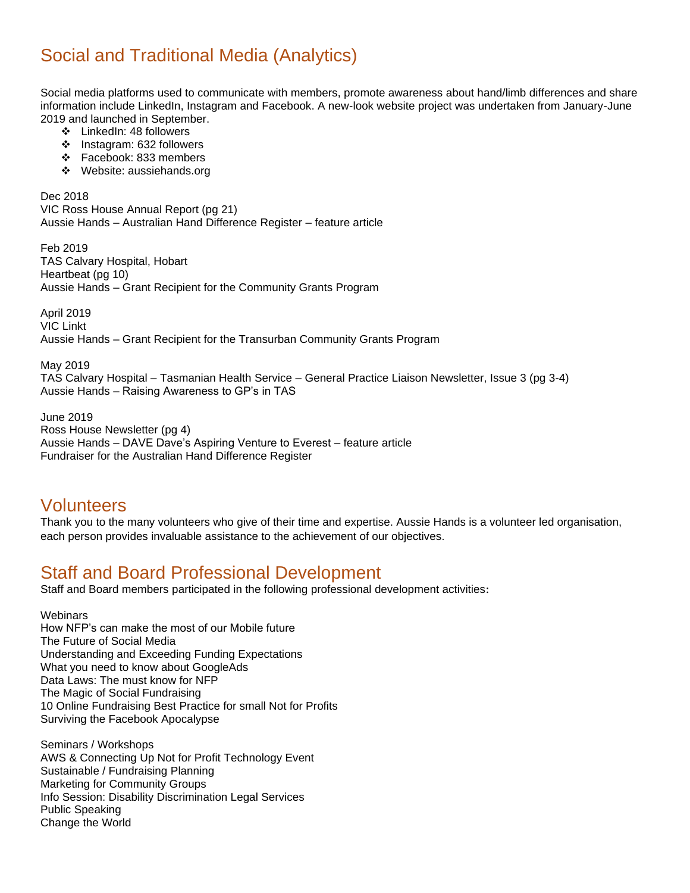# Social and Traditional Media (Analytics)

Social media platforms used to communicate with members, promote awareness about hand/limb differences and share information include LinkedIn, Instagram and Facebook. A new-look website project was undertaken from January-June 2019 and launched in September.

- ❖ LinkedIn: 48 followers
- ❖ Instagram: 632 followers
- ❖ Facebook: 833 members
- ❖ Website: aussiehands.org

Dec 2018 VIC Ross House Annual Report (pg 21) Aussie Hands – Australian Hand Difference Register – feature article

Feb 2019 TAS Calvary Hospital, Hobart Heartbeat (pg 10) Aussie Hands – Grant Recipient for the Community Grants Program

April 2019 VIC Linkt

Aussie Hands – Grant Recipient for the Transurban Community Grants Program

May 2019 TAS Calvary Hospital – Tasmanian Health Service – General Practice Liaison Newsletter, Issue 3 (pg 3-4) Aussie Hands – Raising Awareness to GP's in TAS

June 2019 Ross House Newsletter (pg 4) Aussie Hands – DAVE Dave's Aspiring Venture to Everest – feature article Fundraiser for the Australian Hand Difference Register

# Volunteers

Thank you to the many volunteers who give of their time and expertise. Aussie Hands is a volunteer led organisation, each person provides invaluable assistance to the achievement of our objectives.

# Staff and Board Professional Development

Staff and Board members participated in the following professional development activities:

**Webinars** 

How NFP's can make the most of our Mobile future The Future of Social Media Understanding and Exceeding Funding Expectations What you need to know about GoogleAds Data Laws: The must know for NFP The Magic of Social Fundraising 10 Online Fundraising Best Practice for small Not for Profits Surviving the Facebook Apocalypse

Seminars / Workshops AWS & Connecting Up Not for Profit Technology Event Sustainable / Fundraising Planning Marketing for Community Groups Info Session: Disability Discrimination Legal Services Public Speaking Change the World